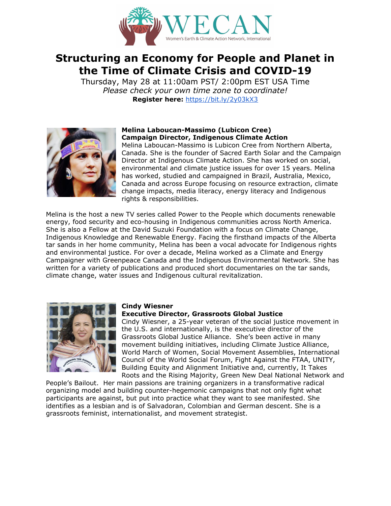

# **Structuring an Economy for People and Planet in the Time of Climate Crisis and COVID-19**

Thursday, May 28 at 11:00am PST/ 2:00pm EST USA Time *Please check your own time zone to coordinate!* **Register here:** <https://bit.ly/2y03kX3>



# **Melina Laboucan-Massimo (Lubicon Cree) Campaign Director, Indigenous Climate Action**

Melina Laboucan-Massimo is Lubicon Cree from Northern Alberta, Canada. She is the founder of Sacred Earth Solar and the Campaign Director at Indigenous Climate Action. She has worked on social, environmental and climate justice issues for over 15 years. Melina has worked, studied and campaigned in Brazil, Australia, Mexico, Canada and across Europe focusing on resource extraction, climate change impacts, media literacy, energy literacy and Indigenous rights & responsibilities.

Melina is the host a new TV series called Power to the People which documents renewable energy, food security and eco-housing in Indigenous communities across North America. She is also a Fellow at the David Suzuki Foundation with a focus on Climate Change, Indigenous Knowledge and Renewable Energy. Facing the firsthand impacts of the Alberta tar sands in her home community, Melina has been a vocal advocate for Indigenous rights and environmental justice. For over a decade, Melina worked as a Climate and Energy Campaigner with Greenpeace Canada and the Indigenous Environmental Network. She has written for a variety of publications and produced short documentaries on the tar sands, climate change, water issues and Indigenous cultural revitalization.



# **Cindy Wiesner**

## **Executive Director, Grassroots Global Justice**

Cindy Wiesner, a 25-year veteran of the social justice movement in the U.S. and internationally, is the executive director of the Grassroots Global Justice Alliance. She's been active in many movement building initiatives, including Climate Justice Alliance, World March of Women, Social Movement Assemblies, International Council of the World Social Forum, Fight Against the FTAA, UNITY, Building Equity and Alignment Initiative and, currently, It Takes Roots and the Rising Majority, Green New Deal National Network and

People's Bailout. Her main passions are training organizers in a transformative radical organizing model and building counter-hegemonic campaigns that not only fight what participants are against, but put into practice what they want to see manifested. She identifies as a lesbian and is of Salvadoran, Colombian and German descent. She is a grassroots feminist, internationalist, and movement strategist.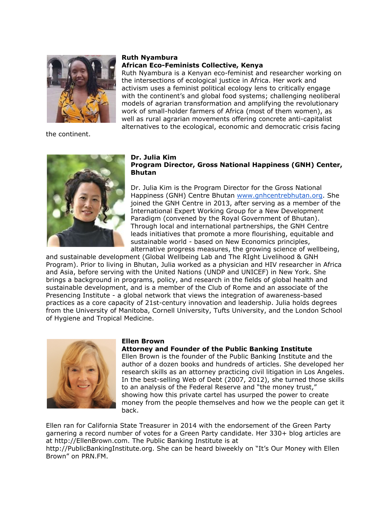

the continent.

#### **Ruth Nyambura African Eco-Feminists Collective, Kenya**

Ruth Nyambura is a Kenyan eco-feminist and researcher working on the intersections of ecological justice in Africa. Her work and activism uses a feminist political ecology lens to critically engage with the continent's and global food systems; challenging neoliberal models of agrarian transformation and amplifying the revolutionary work of small-holder farmers of Africa (most of them women), as well as rural agrarian movements offering concrete anti-capitalist alternatives to the ecological, economic and democratic crisis facing

#### **Dr. Julia Kim Program Director, Gross National Happiness (GNH) Center, Bhutan**

Dr. Julia Kim is the Program Director for the Gross National Happiness (GNH) Centre Bhutan [www.gnhcentrebhutan.org.](http://www.gnhcentrebhutan.org/) She joined the GNH Centre in 2013, after serving as a member of the International Expert Working Group for a New Development Paradigm (convened by the Royal Government of Bhutan). Through local and international partnerships, the GNH Centre leads initiatives that promote a more flourishing, equitable and sustainable world - based on New Economics principles, alternative progress measures, the growing science of wellbeing,

and sustainable development (Global Wellbeing Lab and The RIght Livelihood & GNH Program). Prior to living in Bhutan, Julia worked as a physician and HIV researcher in Africa and Asia, before serving with the United Nations (UNDP and UNICEF) in New York. She brings a background in programs, policy, and research in the fields of global health and sustainable development, and is a member of the Club of Rome and an associate of the Presencing Institute - a global network that views the integration of awareness-based practices as a core capacity of 21st-century innovation and leadership. Julia holds degrees from the University of Manitoba, Cornell University, Tufts University, and the London School of Hygiene and Tropical Medicine.



#### **Ellen Brown**

### **Attorney and Founder of the Public Banking Institute**

Ellen Brown is the founder of the Public Banking Institute and the author of a dozen books and hundreds of articles. She developed her research skills as an attorney practicing civil litigation in Los Angeles. In the best-selling Web of Debt (2007, 2012), she turned those skills to an analysis of the Federal Reserve and "the money trust," showing how this private cartel has usurped the power to create money from the people themselves and how we the people can get it back.

Ellen ran for California State Treasurer in 2014 with the endorsement of the Green Party garnering a record number of votes for a Green Party candidate. Her 330+ blog articles are at http://EllenBrown.com. The Public Banking Institute is at http://PublicBankingInstitute.org. She can be heard biweekly on "It's Our Money with Ellen Brown" on PRN.FM.